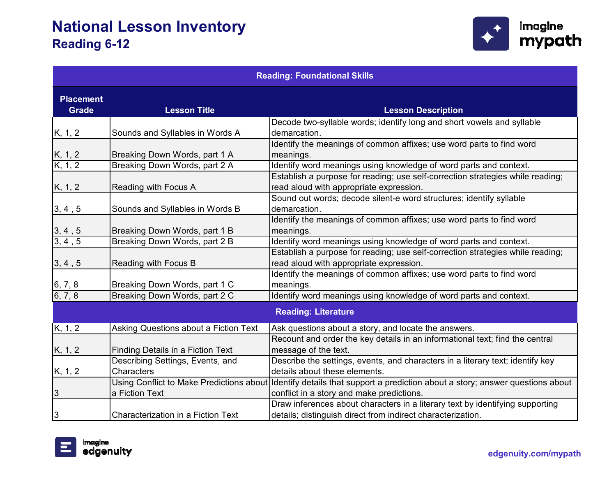

| <b>Reading: Foundational Skills</b> |                                           |                                                                                                                                                                        |
|-------------------------------------|-------------------------------------------|------------------------------------------------------------------------------------------------------------------------------------------------------------------------|
| <b>Placement</b><br><b>Grade</b>    | <b>Lesson Title</b>                       | <b>Lesson Description</b>                                                                                                                                              |
|                                     |                                           | Decode two-syllable words; identify long and short vowels and syllable                                                                                                 |
| K, 1, 2                             | Sounds and Syllables in Words A           | demarcation.                                                                                                                                                           |
|                                     | Breaking Down Words, part 1 A             | Identify the meanings of common affixes; use word parts to find word<br>meanings.                                                                                      |
| $\frac{K, 1, 2}{K, 1, 2}$           | Breaking Down Words, part 2 A             | Identify word meanings using knowledge of word parts and context.                                                                                                      |
| K, 1, 2                             | Reading with Focus A                      | Establish a purpose for reading; use self-correction strategies while reading;<br>read aloud with appropriate expression.                                              |
| 3, 4, 5                             | Sounds and Syllables in Words B           | Sound out words; decode silent-e word structures; identify syllable<br>demarcation.                                                                                    |
| $\frac{3, 4, 5}{3, 4, 5}$           | Breaking Down Words, part 1 B             | Identify the meanings of common affixes; use word parts to find word<br>meanings.                                                                                      |
|                                     | Breaking Down Words, part 2 B             | Identify word meanings using knowledge of word parts and context.                                                                                                      |
| 3, 4, 5                             | Reading with Focus B                      | Establish a purpose for reading; use self-correction strategies while reading;<br>read aloud with appropriate expression.                                              |
| 6, 7, 8                             | Breaking Down Words, part 1 C             | Identify the meanings of common affixes; use word parts to find word<br>meanings.                                                                                      |
| 6, 7, 8                             | Breaking Down Words, part 2 C             | Identify word meanings using knowledge of word parts and context.                                                                                                      |
|                                     |                                           | <b>Reading: Literature</b>                                                                                                                                             |
| K, 1, 2                             | Asking Questions about a Fiction Text     | Ask questions about a story, and locate the answers.                                                                                                                   |
| K, 1, 2                             | <b>Finding Details in a Fiction Text</b>  | Recount and order the key details in an informational text; find the central<br>message of the text.                                                                   |
|                                     | Describing Settings, Events, and          | Describe the settings, events, and characters in a literary text; identify key                                                                                         |
| <u>K, 1, 2</u>                      | <b>Characters</b>                         | details about these elements.                                                                                                                                          |
| $\overline{3}$                      | a Fiction Text                            | Using Conflict to Make Predictions about Identify details that support a prediction about a story; answer questions about<br>conflict in a story and make predictions. |
| 3                                   | <b>Characterization in a Fiction Text</b> | Draw inferences about characters in a literary text by identifying supporting<br>details; distinguish direct from indirect characterization.                           |
|                                     |                                           |                                                                                                                                                                        |

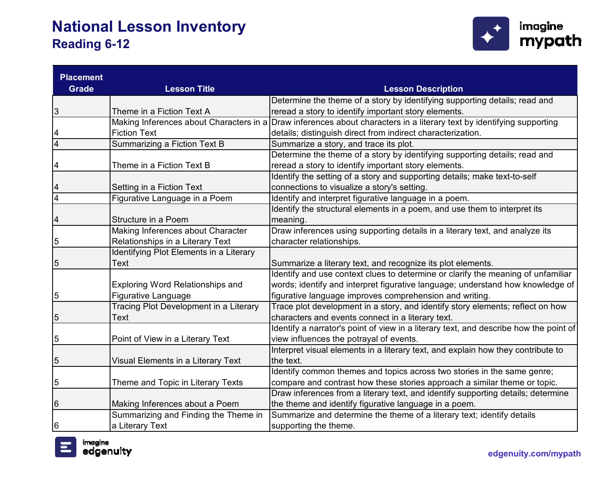

| <b>Placement</b> |                                         |                                                                                       |
|------------------|-----------------------------------------|---------------------------------------------------------------------------------------|
| <b>Grade</b>     | <b>Lesson Title</b>                     | <b>Lesson Description</b>                                                             |
|                  |                                         | Determine the theme of a story by identifying supporting details; read and            |
| 3                | Theme in a Fiction Text A               | reread a story to identify important story elements.                                  |
|                  | Making Inferences about Characters in a | Draw inferences about characters in a literary text by identifying supporting         |
| 4                | <b>Fiction Text</b>                     | details; distinguish direct from indirect characterization.                           |
| $\overline{4}$   | Summarizing a Fiction Text B            | Summarize a story, and trace its plot.                                                |
|                  |                                         | Determine the theme of a story by identifying supporting details; read and            |
| 4                | Theme in a Fiction Text B               | reread a story to identify important story elements.                                  |
|                  |                                         | Identify the setting of a story and supporting details; make text-to-self             |
| 4                | Setting in a Fiction Text               | connections to visualize a story's setting.                                           |
| $\overline{4}$   | Figurative Language in a Poem           | Identify and interpret figurative language in a poem.                                 |
|                  |                                         | Identify the structural elements in a poem, and use them to interpret its             |
| 4                | Structure in a Poem                     | meaning.                                                                              |
|                  | Making Inferences about Character       | Draw inferences using supporting details in a literary text, and analyze its          |
| 5                | Relationships in a Literary Text        | character relationships.                                                              |
|                  | Identifying Plot Elements in a Literary |                                                                                       |
| 5                | <b>Text</b>                             | Summarize a literary text, and recognize its plot elements.                           |
|                  |                                         | Identify and use context clues to determine or clarify the meaning of unfamiliar      |
|                  | Exploring Word Relationships and        | words; identify and interpret figurative language; understand how knowledge of        |
| 5                | <b>Figurative Language</b>              | figurative language improves comprehension and writing.                               |
|                  | Tracing Plot Development in a Literary  | Trace plot development in a story, and identify story elements; reflect on how        |
| 5                | <b>Text</b>                             | characters and events connect in a literary text.                                     |
|                  |                                         | Identify a narrator's point of view in a literary text, and describe how the point of |
| 5                | Point of View in a Literary Text        | view influences the potrayal of events.                                               |
|                  |                                         | Interpret visual elements in a literary text, and explain how they contribute to      |
| $\mathbf 5$      | Visual Elements in a Literary Text      | the text.                                                                             |
|                  |                                         | Identify common themes and topics across two stories in the same genre;               |
| 5                | Theme and Topic in Literary Texts       | compare and contrast how these stories approach a similar theme or topic.             |
|                  |                                         | Draw inferences from a literary text, and identify supporting details; determine      |
| 6                | Making Inferences about a Poem          | the theme and identify figurative language in a poem.                                 |
|                  | Summarizing and Finding the Theme in    | Summarize and determine the theme of a literary text; identify details                |
| 6                | a Literary Text                         | supporting the theme.                                                                 |

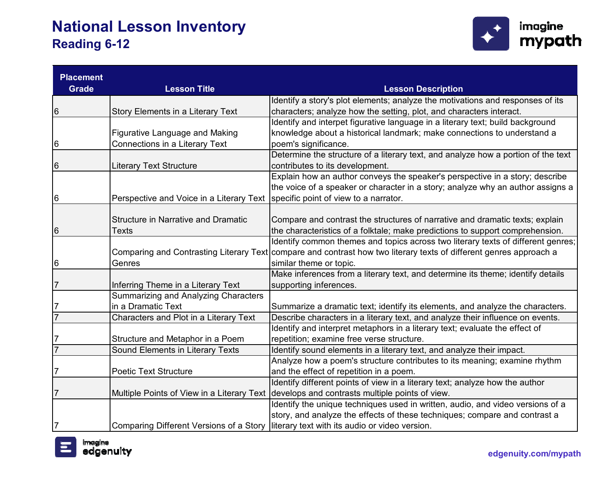

| <b>Placement</b> |                                            |                                                                                                                    |
|------------------|--------------------------------------------|--------------------------------------------------------------------------------------------------------------------|
| <b>Grade</b>     | <b>Lesson Title</b>                        | <b>Lesson Description</b>                                                                                          |
|                  |                                            | Identify a story's plot elements; analyze the motivations and responses of its                                     |
| 6                | Story Elements in a Literary Text          | characters; analyze how the setting, plot, and characters interact.                                                |
|                  |                                            | Identify and interpet figurative language in a literary text; build background                                     |
|                  | <b>Figurative Language and Making</b>      | knowledge about a historical landmark; make connections to understand a                                            |
| 6                | Connections in a Literary Text             | poem's significance.                                                                                               |
|                  |                                            | Determine the structure of a literary text, and analyze how a portion of the text                                  |
| 6                | <b>Literary Text Structure</b>             | contributes to its development.                                                                                    |
|                  |                                            | Explain how an author conveys the speaker's perspective in a story; describe                                       |
|                  |                                            | the voice of a speaker or character in a story; analyze why an author assigns a                                    |
| 6                | Perspective and Voice in a Literary Text   | specific point of view to a narrator.                                                                              |
|                  |                                            |                                                                                                                    |
|                  | <b>Structure in Narrative and Dramatic</b> | Compare and contrast the structures of narrative and dramatic texts; explain                                       |
| 6                | <b>Texts</b>                               | the characteristics of a folktale; make predictions to support comprehension.                                      |
|                  |                                            | Identify common themes and topics across two literary texts of different genres;                                   |
|                  |                                            | Comparing and Contrasting Literary Text compare and contrast how two literary texts of different genres approach a |
| 6                | Genres                                     | similar theme or topic.                                                                                            |
|                  |                                            | Make inferences from a literary text, and determine its theme; identify details                                    |
| 7                | Inferring Theme in a Literary Text         | supporting inferences.                                                                                             |
|                  | Summarizing and Analyzing Characters       |                                                                                                                    |
| 7                | in a Dramatic Text                         | Summarize a dramatic text; identify its elements, and analyze the characters.                                      |
| $\overline{7}$   | Characters and Plot in a Literary Text     | Describe characters in a literary text, and analyze their influence on events.                                     |
|                  |                                            | Identify and interpret metaphors in a literary text; evaluate the effect of                                        |
|                  | Structure and Metaphor in a Poem           | repetition; examine free verse structure.                                                                          |
| $\overline{7}$   | Sound Elements in Literary Texts           | Identify sound elements in a literary text, and analyze their impact.                                              |
|                  |                                            | Analyze how a poem's structure contributes to its meaning; examine rhythm                                          |
| 7                | <b>Poetic Text Structure</b>               | and the effect of repetition in a poem.                                                                            |
|                  |                                            | Identify different points of view in a literary text; analyze how the author                                       |
| 7                | Multiple Points of View in a Literary Text | develops and contrasts multiple points of view.                                                                    |
|                  |                                            | Identify the unique techniques used in written, audio, and video versions of a                                     |
|                  |                                            | story, and analyze the effects of these techniques; compare and contrast a                                         |
| 7                | Comparing Different Versions of a Story    | literary text with its audio or video version.                                                                     |

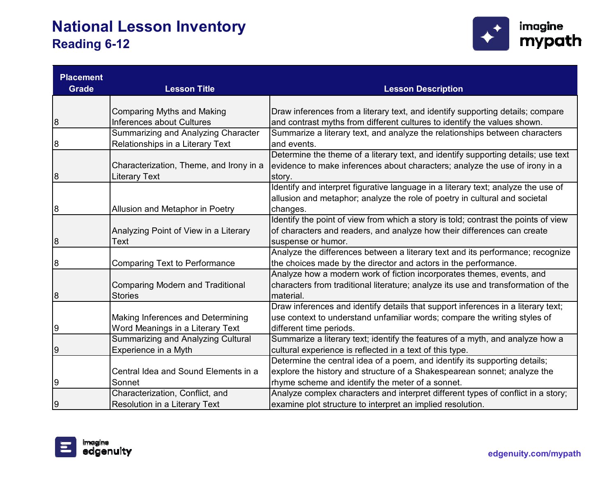

| <b>Placement</b> |                                           |                                                                                    |
|------------------|-------------------------------------------|------------------------------------------------------------------------------------|
| <b>Grade</b>     | <b>Lesson Title</b>                       | <b>Lesson Description</b>                                                          |
|                  |                                           |                                                                                    |
|                  | <b>Comparing Myths and Making</b>         | Draw inferences from a literary text, and identify supporting details; compare     |
| 8                | <b>Inferences about Cultures</b>          | and contrast myths from different cultures to identify the values shown.           |
|                  | Summarizing and Analyzing Character       | Summarize a literary text, and analyze the relationships between characters        |
| $\boldsymbol{8}$ | Relationships in a Literary Text          | and events.                                                                        |
|                  |                                           | Determine the theme of a literary text, and identify supporting details; use text  |
|                  | Characterization, Theme, and Irony in a   | evidence to make inferences about characters; analyze the use of irony in a        |
| 8                | Literary Text                             | story.                                                                             |
|                  |                                           | Identify and interpret figurative language in a literary text; analyze the use of  |
|                  |                                           | allusion and metaphor; analyze the role of poetry in cultural and societal         |
| 8                | Allusion and Metaphor in Poetry           | changes.                                                                           |
|                  |                                           | Identify the point of view from which a story is told; contrast the points of view |
|                  | Analyzing Point of View in a Literary     | of characters and readers, and analyze how their differences can create            |
| 8                | Text                                      | suspense or humor.                                                                 |
|                  |                                           | Analyze the differences between a literary text and its performance; recognize     |
| 8                | <b>Comparing Text to Performance</b>      | the choices made by the director and actors in the performance.                    |
|                  |                                           | Analyze how a modern work of fiction incorporates themes, events, and              |
|                  | <b>Comparing Modern and Traditional</b>   | characters from traditional literature; analyze its use and transformation of the  |
| 8                | <b>Stories</b>                            | material.                                                                          |
|                  |                                           | Draw inferences and identify details that support inferences in a literary text;   |
|                  | Making Inferences and Determining         | use context to understand unfamiliar words; compare the writing styles of          |
| 9                | Word Meanings in a Literary Text          | different time periods.                                                            |
|                  | <b>Summarizing and Analyzing Cultural</b> | Summarize a literary text; identify the features of a myth, and analyze how a      |
| $\overline{9}$   | Experience in a Myth                      | cultural experience is reflected in a text of this type.                           |
|                  |                                           | Determine the central idea of a poem, and identify its supporting details;         |
|                  | Central Idea and Sound Elements in a      | explore the history and structure of a Shakespearean sonnet; analyze the           |
| 9                | Sonnet                                    | rhyme scheme and identify the meter of a sonnet.                                   |
|                  | Characterization, Conflict, and           | Analyze complex characters and interpret different types of conflict in a story;   |
| 9                | Resolution in a Literary Text             | examine plot structure to interpret an implied resolution.                         |

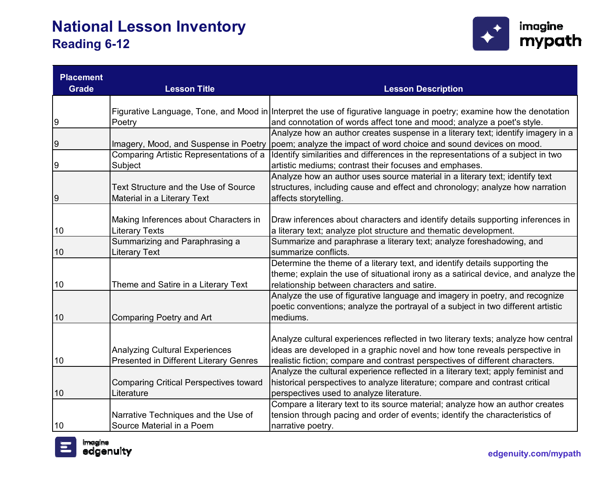

| <b>Placement</b><br><b>Grade</b> | <b>Lesson Title</b>                           | <b>Lesson Description</b>                                                                                             |
|----------------------------------|-----------------------------------------------|-----------------------------------------------------------------------------------------------------------------------|
|                                  |                                               |                                                                                                                       |
|                                  |                                               | Figurative Language, Tone, and Mood in Interpret the use of figurative language in poetry; examine how the denotation |
| 9                                | Poetry                                        | and connotation of words affect tone and mood; analyze a poet's style.                                                |
|                                  |                                               | Analyze how an author creates suspense in a literary text; identify imagery in a                                      |
| 9                                | Imagery, Mood, and Suspense in Poetry         | poem; analyze the impact of word choice and sound devices on mood.                                                    |
|                                  | Comparing Artistic Representations of a       | Identify similarities and differences in the representations of a subject in two                                      |
| 9                                | Subject                                       | artistic mediums; contrast their focuses and emphases.                                                                |
|                                  |                                               | Analyze how an author uses source material in a literary text; identify text                                          |
|                                  | Text Structure and the Use of Source          | structures, including cause and effect and chronology; analyze how narration                                          |
| 9                                | Material in a Literary Text                   | affects storytelling.                                                                                                 |
|                                  |                                               |                                                                                                                       |
|                                  | Making Inferences about Characters in         | Draw inferences about characters and identify details supporting inferences in                                        |
| 10                               | <b>Literary Texts</b>                         | a literary text; analyze plot structure and thematic development.                                                     |
|                                  | Summarizing and Paraphrasing a                | Summarize and paraphrase a literary text; analyze foreshadowing, and                                                  |
| 10                               | <b>Literary Text</b>                          | summarize conflicts.                                                                                                  |
|                                  |                                               | Determine the theme of a literary text, and identify details supporting the                                           |
|                                  |                                               | theme; explain the use of situational irony as a satirical device, and analyze the                                    |
| 10                               | Theme and Satire in a Literary Text           | relationship between characters and satire.                                                                           |
|                                  |                                               | Analyze the use of figurative language and imagery in poetry, and recognize                                           |
|                                  |                                               | poetic conventions; analyze the portrayal of a subject in two different artistic                                      |
| 10                               | <b>Comparing Poetry and Art</b>               | mediums.                                                                                                              |
|                                  |                                               |                                                                                                                       |
|                                  |                                               | Analyze cultural experiences reflected in two literary texts; analyze how central                                     |
|                                  | <b>Analyzing Cultural Experiences</b>         | ideas are developed in a graphic novel and how tone reveals perspective in                                            |
| 10                               | Presented in Different Literary Genres        | realistic fiction; compare and contrast perspectives of different characters.                                         |
|                                  |                                               | Analyze the cultural experience reflected in a literary text; apply feminist and                                      |
|                                  | <b>Comparing Critical Perspectives toward</b> | historical perspectives to analyze literature; compare and contrast critical                                          |
| 10                               | Literature                                    | perspectives used to analyze literature.                                                                              |
|                                  |                                               | Compare a literary text to its source material; analyze how an author creates                                         |
|                                  | Narrative Techniques and the Use of           | tension through pacing and order of events; identify the characteristics of                                           |
| 10                               | Source Material in a Poem                     | narrative poetry.                                                                                                     |

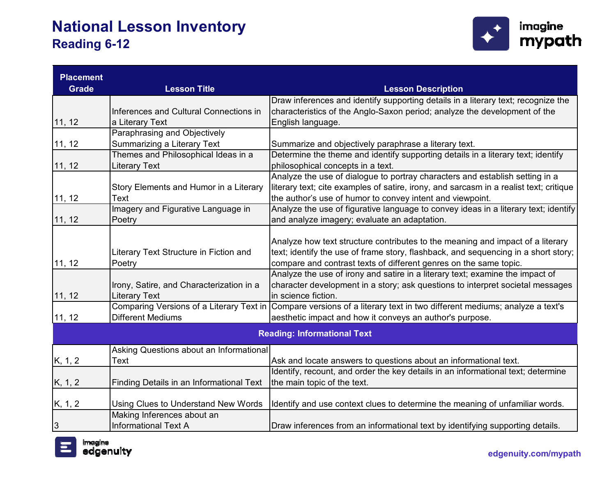

| <b>Placement</b> |                                          |                                                                                                                         |
|------------------|------------------------------------------|-------------------------------------------------------------------------------------------------------------------------|
| <b>Grade</b>     | <b>Lesson Title</b>                      | <b>Lesson Description</b>                                                                                               |
|                  |                                          | Draw inferences and identify supporting details in a literary text; recognize the                                       |
|                  | Inferences and Cultural Connections in   | characteristics of the Anglo-Saxon period; analyze the development of the                                               |
| 11, 12           | a Literary Text                          | English language.                                                                                                       |
|                  | Paraphrasing and Objectively             |                                                                                                                         |
| 11, 12           | Summarizing a Literary Text              | Summarize and objectively paraphrase a literary text.                                                                   |
|                  | Themes and Philosophical Ideas in a      | Determine the theme and identify supporting details in a literary text; identify                                        |
| 11, 12           | Literary Text                            | philosophical concepts in a text.                                                                                       |
|                  |                                          | Analyze the use of dialogue to portray characters and establish setting in a                                            |
|                  | Story Elements and Humor in a Literary   | literary text; cite examples of satire, irony, and sarcasm in a realist text; critique                                  |
| 11, 12           | Text                                     | the author's use of humor to convey intent and viewpoint.                                                               |
|                  | Imagery and Figurative Language in       | Analyze the use of figurative language to convey ideas in a literary text; identify                                     |
| 11, 12           | Poetry                                   | and analyze imagery; evaluate an adaptation.                                                                            |
|                  |                                          |                                                                                                                         |
|                  |                                          | Analyze how text structure contributes to the meaning and impact of a literary                                          |
|                  | Literary Text Structure in Fiction and   | text; identify the use of frame story, flashback, and sequencing in a short story;                                      |
| 11, 12           | Poetry                                   | compare and contrast texts of different genres on the same topic.                                                       |
|                  |                                          | Analyze the use of irony and satire in a literary text; examine the impact of                                           |
|                  | Irony, Satire, and Characterization in a | character development in a story; ask questions to interpret societal messages                                          |
| 11, 12           | Literary Text                            | in science fiction.                                                                                                     |
|                  |                                          | Comparing Versions of a Literary Text in Compare versions of a literary text in two different mediums; analyze a text's |
| 11, 12           | <b>Different Mediums</b>                 | aesthetic impact and how it conveys an author's purpose.                                                                |
|                  |                                          | <b>Reading: Informational Text</b>                                                                                      |
|                  | Asking Questions about an Informational  |                                                                                                                         |
| K, 1, 2          | Text                                     | Ask and locate answers to questions about an informational text.                                                        |
|                  |                                          | Identify, recount, and order the key details in an informational text; determine                                        |
| K, 1, 2          | Finding Details in an Informational Text | the main topic of the text.                                                                                             |
|                  |                                          |                                                                                                                         |
| K, 1, 2          | Using Clues to Understand New Words      | Identify and use context clues to determine the meaning of unfamiliar words.                                            |
|                  | Making Inferences about an               |                                                                                                                         |
| $\overline{3}$   | <b>Informational Text A</b>              | Draw inferences from an informational text by identifying supporting details.                                           |

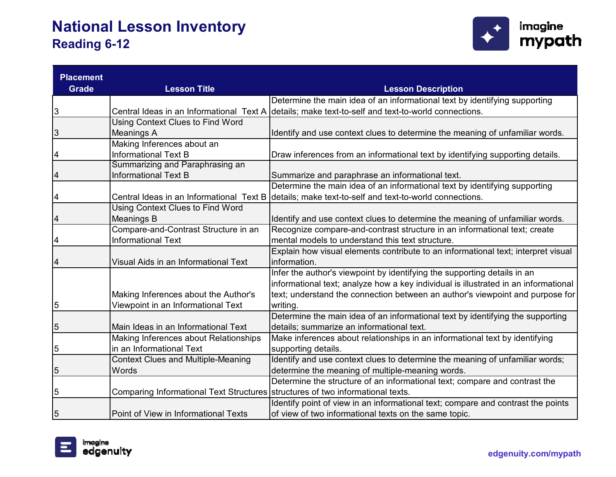

| <b>Placement</b> |                                                                                  |                                                                                                    |
|------------------|----------------------------------------------------------------------------------|----------------------------------------------------------------------------------------------------|
| <b>Grade</b>     | <b>Lesson Title</b>                                                              | <b>Lesson Description</b>                                                                          |
|                  |                                                                                  | Determine the main idea of an informational text by identifying supporting                         |
| 3                |                                                                                  | Central Ideas in an Informational Text A details; make text-to-self and text-to-world connections. |
|                  | Using Context Clues to Find Word                                                 |                                                                                                    |
| 3                | <b>Meanings A</b>                                                                | Identify and use context clues to determine the meaning of unfamiliar words.                       |
|                  | Making Inferences about an                                                       |                                                                                                    |
| 4                | <b>Informational Text B</b>                                                      | Draw inferences from an informational text by identifying supporting details.                      |
|                  | Summarizing and Paraphrasing an                                                  |                                                                                                    |
| 4                | <b>Informational Text B</b>                                                      | Summarize and paraphrase an informational text.                                                    |
|                  |                                                                                  | Determine the main idea of an informational text by identifying supporting                         |
| 4                | Central Ideas in an Informational Text B                                         | details; make text-to-self and text-to-world connections.                                          |
|                  | Using Context Clues to Find Word                                                 |                                                                                                    |
| 4                | <b>Meanings B</b>                                                                | Identify and use context clues to determine the meaning of unfamiliar words.                       |
|                  | Compare-and-Contrast Structure in an                                             | Recognize compare-and-contrast structure in an informational text; create                          |
| 4                | <b>Informational Text</b>                                                        | mental models to understand this text structure.                                                   |
|                  |                                                                                  | Explain how visual elements contribute to an informational text; interpret visual                  |
| 4                | Visual Aids in an Informational Text                                             | information.                                                                                       |
|                  |                                                                                  | Infer the author's viewpoint by identifying the supporting details in an                           |
|                  |                                                                                  | informational text; analyze how a key individual is illustrated in an informational                |
|                  | Making Inferences about the Author's                                             | text; understand the connection between an author's viewpoint and purpose for                      |
| 5                | Viewpoint in an Informational Text                                               | writing.                                                                                           |
|                  |                                                                                  | Determine the main idea of an informational text by identifying the supporting                     |
| $\mathbf 5$      | Main Ideas in an Informational Text                                              | details; summarize an informational text.                                                          |
|                  | Making Inferences about Relationships                                            | Make inferences about relationships in an informational text by identifying                        |
| 5                | in an Informational Text                                                         | supporting details.                                                                                |
|                  | <b>Context Clues and Multiple-Meaning</b>                                        | Identify and use context clues to determine the meaning of unfamiliar words;                       |
| 5                | Words                                                                            | determine the meaning of multiple-meaning words.                                                   |
|                  |                                                                                  | Determine the structure of an informational text; compare and contrast the                         |
| 5                | Comparing Informational Text Structures   structures of two informational texts. |                                                                                                    |
|                  |                                                                                  | Identify point of view in an informational text; compare and contrast the points                   |
| 5                | Point of View in Informational Texts                                             | of view of two informational texts on the same topic.                                              |

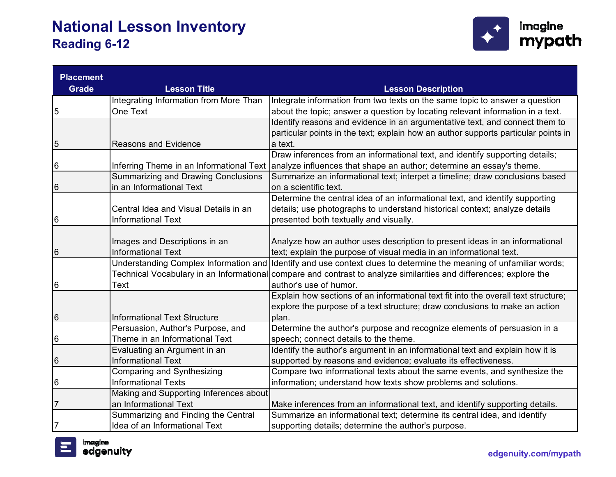

| <b>Placement</b> |                                              |                                                                                                                    |
|------------------|----------------------------------------------|--------------------------------------------------------------------------------------------------------------------|
| <b>Grade</b>     | <b>Lesson Title</b>                          | <b>Lesson Description</b>                                                                                          |
|                  | Integrating Information from More Than       | Integrate information from two texts on the same topic to answer a question                                        |
| 5                | One Text                                     | about the topic; answer a question by locating relevant information in a text.                                     |
|                  |                                              | Identify reasons and evidence in an argumentative text, and connect them to                                        |
|                  |                                              | particular points in the text; explain how an author supports particular points in                                 |
| 5                | <b>Reasons and Evidence</b>                  | a text.                                                                                                            |
|                  |                                              | Draw inferences from an informational text, and identify supporting details;                                       |
| 6                | Inferring Theme in an Informational Text     | analyze influences that shape an author; determine an essay's theme.                                               |
|                  | <b>Summarizing and Drawing Conclusions</b>   | Summarize an informational text; interpet a timeline; draw conclusions based                                       |
| 6                | in an Informational Text                     | on a scientific text.                                                                                              |
|                  |                                              | Determine the central idea of an informational text, and identify supporting                                       |
|                  | Central Idea and Visual Details in an        | details; use photographs to understand historical context; analyze details                                         |
| 6                | <b>Informational Text</b>                    | presented both textually and visually.                                                                             |
|                  |                                              |                                                                                                                    |
|                  | Images and Descriptions in an                | Analyze how an author uses description to present ideas in an informational                                        |
| 6                | <b>Informational Text</b>                    | text; explain the purpose of visual media in an informational text.                                                |
|                  | <b>Understanding Complex Information and</b> | Identify and use context clues to determine the meaning of unfamiliar words;                                       |
|                  |                                              | Technical Vocabulary in an Informational compare and contrast to analyze similarities and differences; explore the |
| 6                | Text                                         | author's use of humor.                                                                                             |
|                  |                                              | Explain how sections of an informational text fit into the overall text structure;                                 |
|                  |                                              | explore the purpose of a text structure; draw conclusions to make an action                                        |
| 6                | <b>Informational Text Structure</b>          | plan.                                                                                                              |
|                  | Persuasion, Author's Purpose, and            | Determine the author's purpose and recognize elements of persuasion in a                                           |
| 6                | Theme in an Informational Text               | speech; connect details to the theme.                                                                              |
|                  | Evaluating an Argument in an                 | Identify the author's argument in an informational text and explain how it is                                      |
| 6                | <b>Informational Text</b>                    | supported by reasons and evidence; evaluate its effectiveness.                                                     |
|                  | Comparing and Synthesizing                   | Compare two informational texts about the same events, and synthesize the                                          |
| 6                | <b>Informational Texts</b>                   | information; understand how texts show problems and solutions.                                                     |
|                  | Making and Supporting Inferences about       |                                                                                                                    |
| 7                | an Informational Text                        | Make inferences from an informational text, and identify supporting details.                                       |
|                  | Summarizing and Finding the Central          | Summarize an informational text; determine its central idea, and identify                                          |
| 7                | Idea of an Informational Text                | supporting details; determine the author's purpose.                                                                |

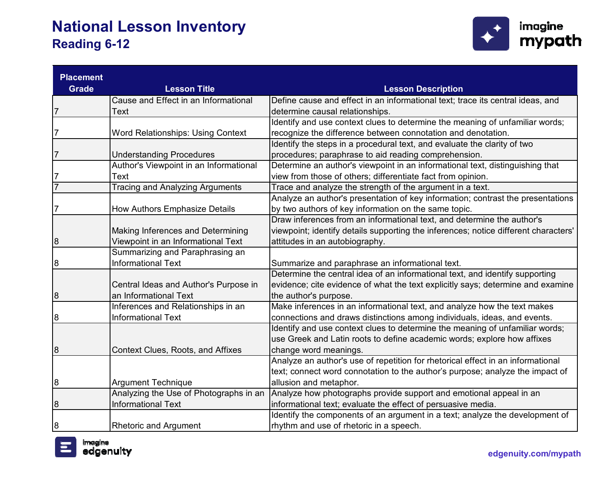

| <b>Placement</b> |                                          |                                                                                     |
|------------------|------------------------------------------|-------------------------------------------------------------------------------------|
| <b>Grade</b>     | <b>Lesson Title</b>                      | <b>Lesson Description</b>                                                           |
|                  | Cause and Effect in an Informational     | Define cause and effect in an informational text; trace its central ideas, and      |
| $\overline{7}$   | Text                                     | determine causal relationships.                                                     |
|                  |                                          | Identify and use context clues to determine the meaning of unfamiliar words;        |
| $\frac{7}{2}$    | <b>Word Relationships: Using Context</b> | recognize the difference between connotation and denotation.                        |
|                  |                                          | Identify the steps in a procedural text, and evaluate the clarity of two            |
| $\frac{7}{2}$    | <b>Understanding Procedures</b>          | procedures; paraphrase to aid reading comprehension.                                |
|                  | Author's Viewpoint in an Informational   | Determine an author's viewpoint in an informational text, distinguishing that       |
| $\frac{7}{7}$    | Text                                     | view from those of others; differentiate fact from opinion.                         |
|                  | <b>Tracing and Analyzing Arguments</b>   | Trace and analyze the strength of the argument in a text.                           |
|                  |                                          | Analyze an author's presentation of key information; contrast the presentations     |
| $\overline{7}$   | <b>How Authors Emphasize Details</b>     | by two authors of key information on the same topic.                                |
|                  |                                          | Draw inferences from an informational text, and determine the author's              |
|                  | Making Inferences and Determining        | viewpoint; identify details supporting the inferences; notice different characters' |
| 8                | Viewpoint in an Informational Text       | attitudes in an autobiography.                                                      |
|                  | Summarizing and Paraphrasing an          |                                                                                     |
| 8                | <b>Informational Text</b>                | Summarize and paraphrase an informational text.                                     |
|                  |                                          | Determine the central idea of an informational text, and identify supporting        |
|                  | Central Ideas and Author's Purpose in    | evidence; cite evidence of what the text explicitly says; determine and examine     |
| 8                | an Informational Text                    | the author's purpose.                                                               |
|                  | Inferences and Relationships in an       | Make inferences in an informational text, and analyze how the text makes            |
| 8                | <b>Informational Text</b>                | connections and draws distinctions among individuals, ideas, and events.            |
|                  |                                          | Identify and use context clues to determine the meaning of unfamiliar words;        |
|                  |                                          | use Greek and Latin roots to define academic words; explore how affixes             |
| 8                | Context Clues, Roots, and Affixes        | change word meanings.                                                               |
|                  |                                          | Analyze an author's use of repetition for rhetorical effect in an informational     |
|                  |                                          | text; connect word connotation to the author's purpose; analyze the impact of       |
| $\overline{8}$   | <b>Argument Technique</b>                | allusion and metaphor.                                                              |
|                  | Analyzing the Use of Photographs in an   | Analyze how photographs provide support and emotional appeal in an                  |
| 8                | <b>Informational Text</b>                | informational text; evaluate the effect of persuasive media.                        |
|                  |                                          | Identify the components of an argument in a text; analyze the development of        |
| 8                | <b>Rhetoric and Argument</b>             | rhythm and use of rhetoric in a speech.                                             |

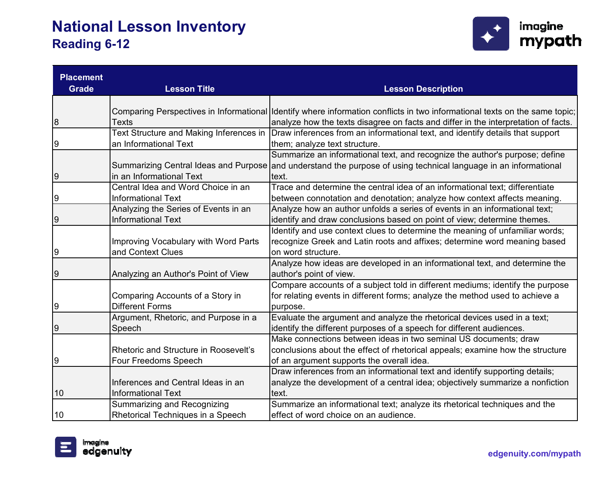

| <b>Placement</b> |                                         |                                                                                                                            |
|------------------|-----------------------------------------|----------------------------------------------------------------------------------------------------------------------------|
| <b>Grade</b>     | <b>Lesson Title</b>                     | <b>Lesson Description</b>                                                                                                  |
|                  |                                         |                                                                                                                            |
|                  |                                         | Comparing Perspectives in Informational Identify where information conflicts in two informational texts on the same topic; |
| 8                | <b>Texts</b>                            | analyze how the texts disagree on facts and differ in the interpretation of facts.                                         |
|                  | Text Structure and Making Inferences in | Draw inferences from an informational text, and identify details that support                                              |
| 9                | an Informational Text                   | them; analyze text structure.                                                                                              |
|                  |                                         | Summarize an informational text, and recognize the author's purpose; define                                                |
|                  |                                         | Summarizing Central Ideas and Purpose and understand the purpose of using technical language in an informational           |
| $\overline{9}$   | in an Informational Text                | text.                                                                                                                      |
|                  | Central Idea and Word Choice in an      | Trace and determine the central idea of an informational text; differentiate                                               |
| $\overline{9}$   | <b>Informational Text</b>               | between connotation and denotation; analyze how context affects meaning.                                                   |
|                  | Analyzing the Series of Events in an    | Analyze how an author unfolds a series of events in an informational text;                                                 |
| $\overline{9}$   | <b>Informational Text</b>               | identify and draw conclusions based on point of view; determine themes.                                                    |
|                  |                                         | Identify and use context clues to determine the meaning of unfamiliar words;                                               |
|                  | Improving Vocabulary with Word Parts    | recognize Greek and Latin roots and affixes; determine word meaning based                                                  |
| 9                | and Context Clues                       | on word structure.                                                                                                         |
|                  |                                         | Analyze how ideas are developed in an informational text, and determine the                                                |
| 9                | Analyzing an Author's Point of View     | author's point of view.                                                                                                    |
|                  |                                         | Compare accounts of a subject told in different mediums; identify the purpose                                              |
|                  | Comparing Accounts of a Story in        | for relating events in different forms; analyze the method used to achieve a                                               |
| 9                | <b>Different Forms</b>                  | purpose.                                                                                                                   |
|                  | Argument, Rhetoric, and Purpose in a    | Evaluate the argument and analyze the rhetorical devices used in a text;                                                   |
| 9                | Speech                                  | identify the different purposes of a speech for different audiences.                                                       |
|                  |                                         | Make connections between ideas in two seminal US documents; draw                                                           |
|                  | Rhetoric and Structure in Roosevelt's   | conclusions about the effect of rhetorical appeals; examine how the structure                                              |
| 9                | Four Freedoms Speech                    | of an argument supports the overall idea.                                                                                  |
|                  |                                         | Draw inferences from an informational text and identify supporting details;                                                |
|                  | Inferences and Central Ideas in an      | analyze the development of a central idea; objectively summarize a nonfiction                                              |
| 10               | <b>Informational Text</b>               | text.                                                                                                                      |
|                  | Summarizing and Recognizing             | Summarize an informational text; analyze its rhetorical techniques and the                                                 |
| 10               | Rhetorical Techniques in a Speech       | effect of word choice on an audience.                                                                                      |

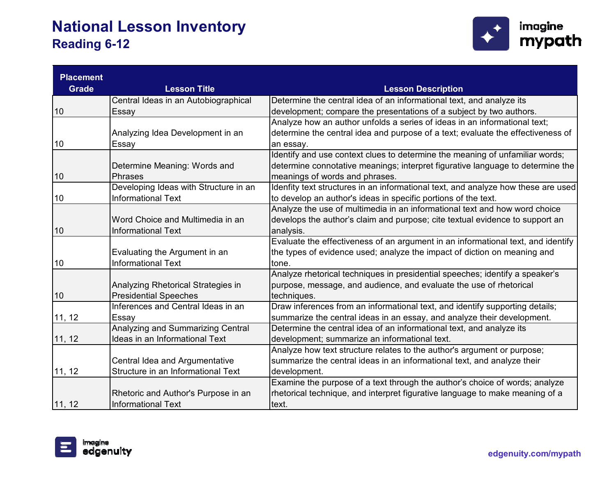

| <b>Placement</b> |                                       |                                                                                   |
|------------------|---------------------------------------|-----------------------------------------------------------------------------------|
| <b>Grade</b>     | <b>Lesson Title</b>                   | <b>Lesson Description</b>                                                         |
|                  | Central Ideas in an Autobiographical  | Determine the central idea of an informational text, and analyze its              |
| 10               | Essay                                 | development; compare the presentations of a subject by two authors.               |
|                  |                                       | Analyze how an author unfolds a series of ideas in an informational text;         |
|                  | Analyzing Idea Development in an      | determine the central idea and purpose of a text; evaluate the effectiveness of   |
| 10               | Essay                                 | an essay.                                                                         |
|                  |                                       | Identify and use context clues to determine the meaning of unfamiliar words;      |
|                  | Determine Meaning: Words and          | determine connotative meanings; interpret figurative language to determine the    |
| 10               | <b>Phrases</b>                        | meanings of words and phrases.                                                    |
|                  | Developing Ideas with Structure in an | Idenfity text structures in an informational text, and analyze how these are used |
| 10               | <b>Informational Text</b>             | to develop an author's ideas in specific portions of the text.                    |
|                  |                                       | Analyze the use of multimedia in an informational text and how word choice        |
|                  | Word Choice and Multimedia in an      | develops the author's claim and purpose; cite textual evidence to support an      |
| 10               | <b>Informational Text</b>             | analysis.                                                                         |
|                  |                                       | Evaluate the effectiveness of an argument in an informational text, and identify  |
|                  | Evaluating the Argument in an         | the types of evidence used; analyze the impact of diction on meaning and          |
| 10               | <b>Informational Text</b>             | tone.                                                                             |
|                  |                                       | Analyze rhetorical techniques in presidential speeches; identify a speaker's      |
|                  | Analyzing Rhetorical Strategies in    | purpose, message, and audience, and evaluate the use of rhetorical                |
| 10               | <b>Presidential Speeches</b>          | techniques.                                                                       |
|                  | Inferences and Central Ideas in an    | Draw inferences from an informational text, and identify supporting details;      |
| 11, 12           | Essay                                 | summarize the central ideas in an essay, and analyze their development.           |
|                  | Analyzing and Summarizing Central     | Determine the central idea of an informational text, and analyze its              |
| 11, 12           | Ideas in an Informational Text        | development; summarize an informational text.                                     |
|                  |                                       | Analyze how text structure relates to the author's argument or purpose;           |
|                  | Central Idea and Argumentative        | summarize the central ideas in an informational text, and analyze their           |
| 11, 12           | Structure in an Informational Text    | development.                                                                      |
|                  |                                       | Examine the purpose of a text through the author's choice of words; analyze       |
|                  | Rhetoric and Author's Purpose in an   | rhetorical technique, and interpret figurative language to make meaning of a      |
| 11, 12           | <b>Informational Text</b>             | text.                                                                             |